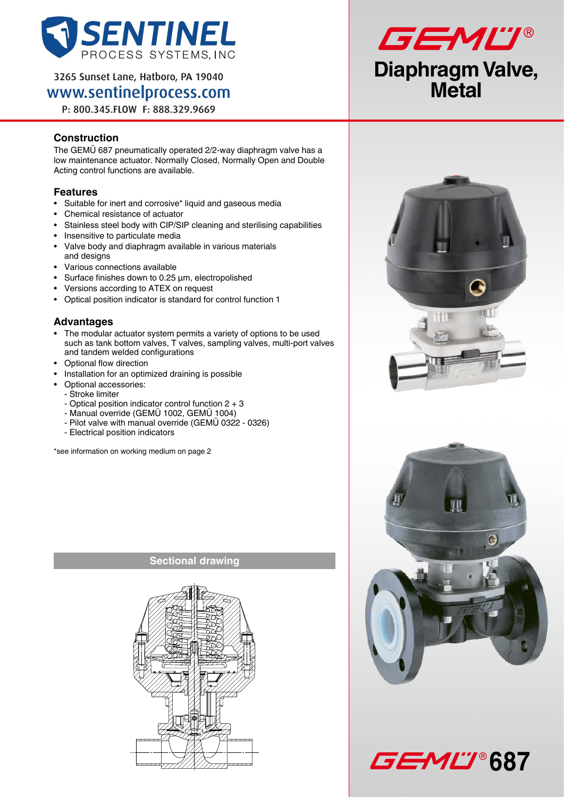

3265 Sunset Lane, Hatboro, PA 19040 www.sentinelprocess.com

P: 800.345.FLOW F: 888.329.9669

## **Construction**

The GEMÜ 687 pneumatically operated 2/2-way diaphragm valve has a low maintenance actuator. Normally Closed, Normally Open and Double Acting control functions are available.

### **Features**

- • Suitable for inert and corrosive\* liquid and gaseous media
- • Chemical resistance of actuator
- Stainless steel body with CIP/SIP cleaning and sterilising capabilities
- Insensitive to particulate media
- Valve body and diaphragm available in various materials and designs
- • Various connections available
- • Surface finishes down to 0.25 µm, electropolished
- • Versions according to ATEX on request
- • Optical position indicator is standard for control function 1

### **Advantages**

- The modular actuator system permits a variety of options to be used such as tank bottom valves, T valves, sampling valves, multi-port valves and tandem welded configurations
- • Optional flow direction
- Installation for an optimized draining is possible
- • Optional accessories:
	- Stroke limiter
	- Optical position indicator control function 2 + 3
	- Manual override (GEMÜ 1002, GEMÜ 1004)
	- Pilot valve with manual override (GEMÜ 0322 0326)
	- Electrical position indicators

\*see information on working medium on page 2











**Sectional drawing**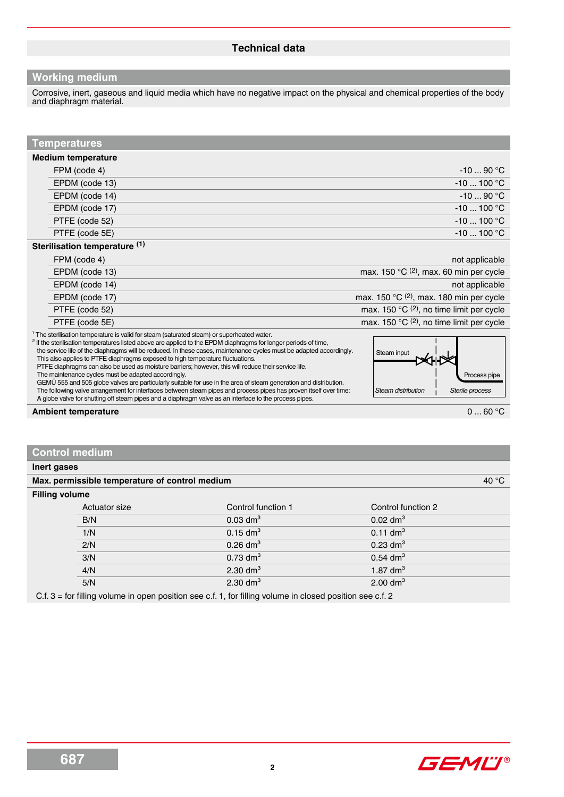### **Working medium**

Corrosive, inert, gaseous and liquid media which have no negative impact on the physical and chemical properties of the body and diaphragm material.

### **Temperatures**

#### **Medium temperature**

| FPM (code 4)   | $-1090 °C$   |
|----------------|--------------|
| EPDM (code 13) | $-10$ 100 °C |
| EPDM (code 14) | $-1090 °C$   |
| EPDM (code 17) | $-10100$ °C  |
| PTFE (code 52) | $-10100$ °C  |
| PTFE (code 5E) | $-10$ 100 °C |
| .              |              |

#### **Sterilisation temperature (1)**

| FPM (code 4)   | not applicable                                               |
|----------------|--------------------------------------------------------------|
| EPDM (code 13) | max. 150 $^{\circ}$ C <sup>(2)</sup> , max. 60 min per cycle |
| EPDM (code 14) | not applicable                                               |
| EPDM (code 17) | max. 150 $\mathrm{C}$ (2), max. 180 min per cycle            |
| PTFE (code 52) | max. 150 $\mathrm{C}$ (2), no time limit per cycle           |
| PTFE (code 5E) | max. 150 °C (2), no time limit per cycle                     |

<sup>1</sup> The sterilisation temperature is valid for steam (saturated steam) or superheated water.

<sup>2</sup> If the sterilisation temperatures listed above are applied to the EPDM diaphragms for longer periods of time, the service life of the diaphragms will be reduced. In these cases, maintenance cycles must be adapted accordingly. This also applies to PTFE diaphragms exposed to high temperature fluctuations. PTFE diaphragms can also be used as moisture barriers; however, this will reduce their service life. The maintenance cycles must be adapted accordingly. GEMÜ 555 and 505 globe valves are particularly suitable for use in the area of steam generation and distribution. The following valve arrangement for interfaces between steam pipes and process pipes has proven itself over time: A globe valve for shutting off steam pipes and a diaphragm valve as an interface to the process pipes.



**Ambient temperature** 0 ... 60 °C

### **Control medium**

**Inert gases**

| <b>Filling volume</b><br>Control function 1<br>Actuator size<br>Control function 2<br>$0.03$ dm <sup>3</sup><br>$0.02$ dm <sup>3</sup><br>B/N<br>1/N<br>$0.15$ dm <sup>3</sup><br>$0.11$ dm <sup>3</sup><br>2/N<br>$0.26$ dm <sup>3</sup><br>$0.23$ dm <sup>3</sup><br>3/N<br>$0.73$ dm <sup>3</sup><br>$0.54$ dm <sup>3</sup><br>$2.30$ dm <sup>3</sup><br>$1.87$ dm <sup>3</sup><br>4/N<br>5/N<br>2.30 d $m3$<br>$2.00$ dm <sup>3</sup> |  |  |  |  |
|-------------------------------------------------------------------------------------------------------------------------------------------------------------------------------------------------------------------------------------------------------------------------------------------------------------------------------------------------------------------------------------------------------------------------------------------|--|--|--|--|
|                                                                                                                                                                                                                                                                                                                                                                                                                                           |  |  |  |  |
|                                                                                                                                                                                                                                                                                                                                                                                                                                           |  |  |  |  |
|                                                                                                                                                                                                                                                                                                                                                                                                                                           |  |  |  |  |
|                                                                                                                                                                                                                                                                                                                                                                                                                                           |  |  |  |  |
|                                                                                                                                                                                                                                                                                                                                                                                                                                           |  |  |  |  |
|                                                                                                                                                                                                                                                                                                                                                                                                                                           |  |  |  |  |
|                                                                                                                                                                                                                                                                                                                                                                                                                                           |  |  |  |  |
| $\cdots$                                                                                                                                                                                                                                                                                                                                                                                                                                  |  |  |  |  |

**Max. permissible temperature of control medium**  $40^{\circ}$ **C** 

C.f. 3 = for filling volume in open position see c.f. 1, for filling volume in closed position see c.f. 2

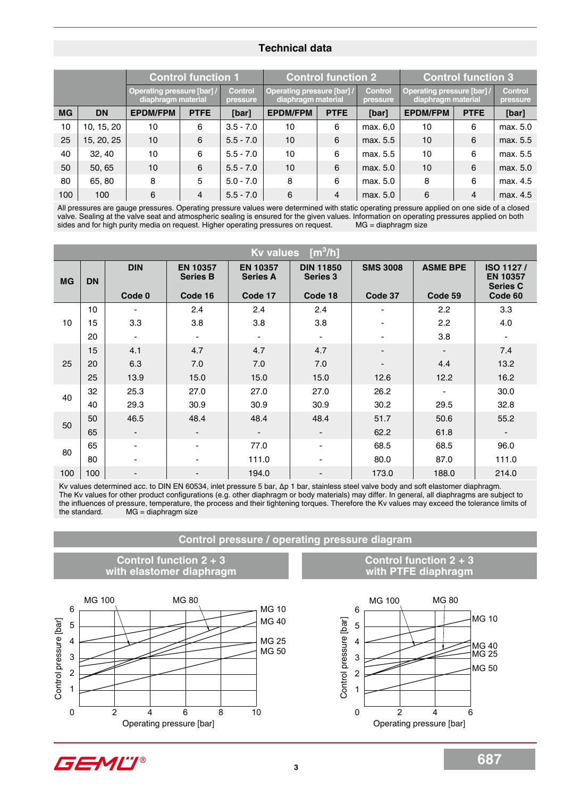### **Technical data**

|           |            | <b>Control function 1</b>                        |             | <b>Control function 2</b>  |                                                  |             | <b>Control function 3</b>  |                                                       |                |                            |
|-----------|------------|--------------------------------------------------|-------------|----------------------------|--------------------------------------------------|-------------|----------------------------|-------------------------------------------------------|----------------|----------------------------|
|           |            | Operating pressure [bar] /<br>diaphragm material |             | <b>Control</b><br>pressure | Operating pressure [bar] /<br>diaphragm material |             | <b>Control</b><br>pressure | <b>Operating pressure [bar]</b><br>diaphragm material |                | <b>Control</b><br>pressure |
| <b>MG</b> | <b>DN</b>  | <b>EPDM/FPM</b>                                  | <b>PTFE</b> | [bar]                      | <b>EPDM/FPM</b>                                  | <b>PTFE</b> | [bar]                      | <b>EPDM/FPM</b>                                       | <b>PTFE</b>    | [bar]                      |
| 10        | 10, 15, 20 | 10                                               | 6           | $3.5 - 7.0$                | 10                                               | 6           | max. 6.0                   | 10                                                    | 6              | max. 5.0                   |
| 25        | 15, 20, 25 | 10                                               | 6           | $5.5 - 7.0$                | 10                                               | 6           | max. 5.5                   | 10                                                    | 6              | max. 5.5                   |
| 40        | 32, 40     | 10                                               | 6           | $5.5 - 7.0$                | 10                                               | 6           | max. 5.5                   | 10                                                    | 6              | max. 5.5                   |
| 50        | 50, 65     | 10                                               | 6           | $5.5 - 7.0$                | 10                                               | 6           | max. 5.0                   | 10                                                    | 6              | max. 5.0                   |
| 80        | 65, 80     | 8                                                | 5           | $5.0 - 7.0$                | 8                                                | 6           | max. 5.0                   | 8                                                     | 6              | max. 4.5                   |
| 100       | 100        | 6                                                | 4           | $5.5 - 7.0$                | 6                                                | 4           | max. 5.0                   | 6                                                     | $\overline{4}$ | max. 4.5                   |

All pressures are gauge pressures. Operating pressure values were determined with static operating pressure applied on one side of a closed valve. Sealing at the valve seat and atmospheric sealing is ensured for the given values. Information on operating pressures applied on both sides and for high purity media on request. Higher operating pressures on request sides and for high purity media on request. Higher operating pressures on request.

|                                                 | $\lceil m^3/h \rceil$<br><b>Kv values</b> |                          |                                    |                                                                                                                                                                                                                                                                                                                                                                                                                                               |                              |                                        |                                               |                                                              |
|-------------------------------------------------|-------------------------------------------|--------------------------|------------------------------------|-----------------------------------------------------------------------------------------------------------------------------------------------------------------------------------------------------------------------------------------------------------------------------------------------------------------------------------------------------------------------------------------------------------------------------------------------|------------------------------|----------------------------------------|-----------------------------------------------|--------------------------------------------------------------|
| <b>MG</b>                                       | <b>DN</b>                                 | <b>DIN</b>               | <b>EN 10357</b><br><b>Series B</b> | <b>EN 10357</b><br><b>Series A</b>                                                                                                                                                                                                                                                                                                                                                                                                            | <b>DIN 11850</b><br>Series 3 | <b>SMS 3008</b>                        | <b>ASME BPE</b>                               | ISO 1127/<br><b>EN 10357</b><br><b>Series C</b>              |
|                                                 |                                           | Code 0                   | Code 16                            | Code 17                                                                                                                                                                                                                                                                                                                                                                                                                                       | Code 18                      | Code 37                                | Code 59                                       | Code 60                                                      |
|                                                 | 10                                        |                          | 2.4                                | 2.4                                                                                                                                                                                                                                                                                                                                                                                                                                           | 2.4                          |                                        | 2.2                                           | 3.3                                                          |
| 10                                              | 15                                        | 3.3                      | 3.8                                | 3.8                                                                                                                                                                                                                                                                                                                                                                                                                                           | 3.8                          |                                        | 2.2                                           | 4.0                                                          |
|                                                 | 20                                        |                          |                                    |                                                                                                                                                                                                                                                                                                                                                                                                                                               |                              |                                        | 3.8                                           |                                                              |
|                                                 | 15                                        | 4.1                      | 4.7                                | 4.7                                                                                                                                                                                                                                                                                                                                                                                                                                           | 4.7                          |                                        | $\overline{\phantom{a}}$                      | 7.4                                                          |
| 25                                              | 20                                        | 6.3                      | 7.0                                | 7.0                                                                                                                                                                                                                                                                                                                                                                                                                                           | 7.0                          |                                        | 4.4                                           | 13.2                                                         |
|                                                 | 25                                        | 13.9                     | 15.0                               | 15.0                                                                                                                                                                                                                                                                                                                                                                                                                                          | 15.0                         | 12.6                                   | 12.2                                          | 16.2                                                         |
| 40                                              | 32                                        | 25.3                     | 27.0                               | 27.0                                                                                                                                                                                                                                                                                                                                                                                                                                          | 27.0                         | 26.2                                   |                                               | 30.0                                                         |
|                                                 | 40                                        | 29.3                     | 30.9                               | 30.9                                                                                                                                                                                                                                                                                                                                                                                                                                          | 30.9                         | 30.2                                   | 29.5                                          | 32.8                                                         |
| 50                                              | 50                                        | 46.5                     | 48.4                               | 48.4                                                                                                                                                                                                                                                                                                                                                                                                                                          | 48.4                         | 51.7                                   | 50.6                                          | 55.2                                                         |
|                                                 | 65                                        |                          |                                    |                                                                                                                                                                                                                                                                                                                                                                                                                                               |                              | 62.2                                   | 61.8                                          |                                                              |
| 80                                              | 65                                        |                          |                                    | 77.0                                                                                                                                                                                                                                                                                                                                                                                                                                          |                              | 68.5                                   | 68.5                                          | 96.0                                                         |
|                                                 | 80                                        |                          |                                    | 111.0                                                                                                                                                                                                                                                                                                                                                                                                                                         |                              | 80.0                                   | 87.0                                          | 111.0                                                        |
| 100                                             | 100                                       |                          |                                    | 194.0                                                                                                                                                                                                                                                                                                                                                                                                                                         |                              | 173.0                                  | 188.0                                         | 214.0                                                        |
|                                                 | the standard.                             | $MG = diaphragm size$    |                                    | Kv values determined acc. to DIN EN 60534, inlet pressure 5 bar, $\Delta p$ 1 bar, stainless steel valve body and soft elastomer diaphragm.<br>The Kv values for other product configurations (e.g. other diaphragm or body materials) may differ. In general, all diaphragms are subject to<br>the influences of pressure, temperature, the process and their tightening torques. Therefore the Kv values may exceed the tolerance limits of |                              |                                        |                                               |                                                              |
|                                                 |                                           |                          |                                    | Control pressure / operating pressure diagram                                                                                                                                                                                                                                                                                                                                                                                                 |                              |                                        |                                               |                                                              |
|                                                 |                                           | with elastomer diaphragm | Control function 2 + 3             |                                                                                                                                                                                                                                                                                                                                                                                                                                               |                              |                                        | Control function 2 + 3<br>with PTFE diaphragm |                                                              |
| 6<br>Control pressure [bar]<br>5<br>4<br>3<br>2 | <b>MG 100</b>                             |                          | <b>MG 80</b>                       | <b>MG 10</b><br><b>MG 40</b><br><b>MG 25</b><br><b>MG 50</b>                                                                                                                                                                                                                                                                                                                                                                                  | Control pressure [bar]       | <b>MG 100</b><br>6<br>5<br>4<br>3<br>2 | <b>MG 80</b>                                  | <b>MG 10</b><br><b>MG 40</b><br><b>MG 25</b><br><b>MG 50</b> |

**Control pressure / operating pressure diagram**



### **Control function 2 + 3 with PTFE diaphragm**



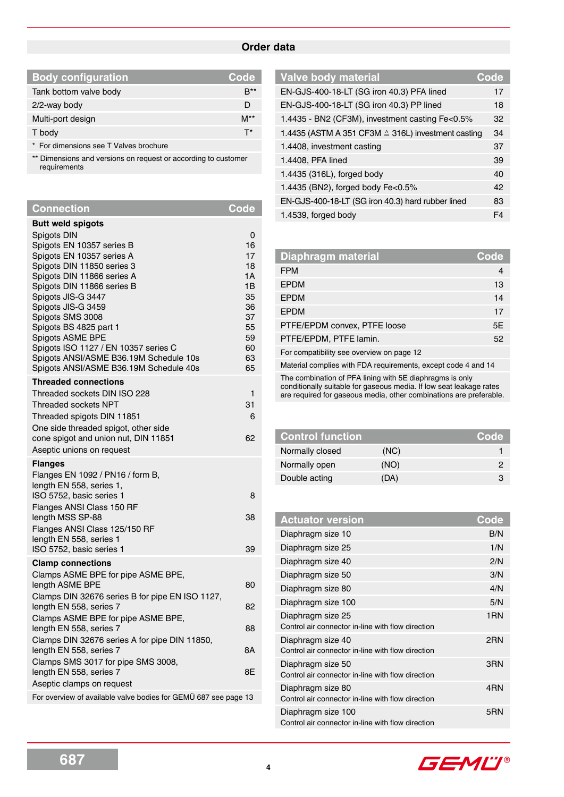### **Order data**

I

| <b>Body configuration</b>              | Code     |
|----------------------------------------|----------|
| Tank bottom valve body                 |          |
| 2/2-way body                           |          |
| Multi-port design                      | $M^{**}$ |
| T body                                 | T*       |
| * For dimensions see T Valves brochure |          |

\*\* Dimensions and versions on request or according to customer requirements

| <b>Connection</b>                                               | Code     |
|-----------------------------------------------------------------|----------|
| <b>Butt weld spigots</b>                                        |          |
| Spigots DIN                                                     | 0        |
| Spigots EN 10357 series B                                       | 16       |
| Spigots EN 10357 series A                                       | 17       |
| Spigots DIN 11850 series 3                                      | 18       |
| Spigots DIN 11866 series A                                      | 1A<br>1B |
| Spigots DIN 11866 series B<br>Spigots JIS-G 3447                | 35       |
| Spigots JIS-G 3459                                              | 36       |
| Spigots SMS 3008                                                | 37       |
| Spigots BS 4825 part 1                                          | 55       |
| Spigots ASME BPE                                                | 59       |
| Spigots ISO 1127 / EN 10357 series C                            | 60       |
| Spigots ANSI/ASME B36.19M Schedule 10s                          | 63       |
| Spigots ANSI/ASME B36.19M Schedule 40s                          | 65       |
| <b>Threaded connections</b>                                     |          |
| Threaded sockets DIN ISO 228                                    | 1        |
| Threaded sockets NPT                                            | 31       |
| Threaded spigots DIN 11851                                      | 6        |
| One side threaded spigot, other side                            |          |
| cone spigot and union nut, DIN 11851                            | 62       |
| Aseptic unions on request                                       |          |
| <b>Flanges</b>                                                  |          |
| Flanges EN 1092 / PN16 / form B,                                |          |
| length EN 558, series 1,                                        |          |
| ISO 5752, basic series 1                                        | 8        |
| Flanges ANSI Class 150 RF                                       |          |
| length MSS SP-88                                                | 38       |
| Flanges ANSI Class 125/150 RF<br>length EN 558, series 1        |          |
| ISO 5752, basic series 1                                        | 39       |
| <b>Clamp connections</b>                                        |          |
| Clamps ASME BPE for pipe ASME BPE,                              |          |
| length ASME BPE                                                 | 80       |
| Clamps DIN 32676 series B for pipe EN ISO 1127,                 |          |
| length EN 558, series 7                                         | 82       |
| Clamps ASME BPE for pipe ASME BPE,                              |          |
| length EN 558, series 7                                         | 88       |
| Clamps DIN 32676 series A for pipe DIN 11850,                   |          |
| length EN 558, series 7                                         | 8Α       |
| Clamps SMS 3017 for pipe SMS 3008,                              |          |
| length EN 558, series 7                                         | 8Е       |
| Aseptic clamps on request                                       |          |
| For overview of available valve bodies for GEMÜ 687 see page 13 |          |

| <b>Valve body material</b>                         | Code           |
|----------------------------------------------------|----------------|
| EN-GJS-400-18-LT (SG iron 40.3) PFA lined          | 17             |
| EN-GJS-400-18-LT (SG iron 40.3) PP lined           | 18             |
| 1.4435 - BN2 (CF3M), investment casting Fe<0.5%    | 32             |
| 1.4435 (ASTM A 351 CF3M ≙ 316L) investment casting | 34             |
| 1.4408, investment casting                         | 37             |
| 1.4408, PFA lined                                  | 39             |
| 1.4435 (316L), forged body                         | 40             |
| 1.4435 (BN2), forged body Fe<0.5%                  | 42             |
| EN-GJS-400-18-LT (SG iron 40.3) hard rubber lined  | 83             |
| 1.4539, forged body                                | F <sub>4</sub> |

| Diaphragm material                                            | Code           |
|---------------------------------------------------------------|----------------|
| <b>FPM</b>                                                    | $\overline{4}$ |
| <b>EPDM</b>                                                   | 13             |
| <b>EPDM</b>                                                   | 14             |
| <b>EPDM</b>                                                   | 17             |
| PTFE/EPDM convex, PTFE loose                                  | 5E             |
| PTFE/EPDM, PTFE lamin.                                        | 52             |
| For compatibility see overview on page 12                     |                |
| Material complies with FDA requirements, except code 4 and 14 |                |

The combination of PFA lining with 5E diaphragms is only

conditionally suitable for gaseous media. If low seat leakage rates are required for gaseous media, other combinations are preferable.

| <b>Control function</b> |      | Code |
|-------------------------|------|------|
| Normally closed         | (NC) |      |
| Normally open           | (NO) |      |
| Double acting           | (DA) |      |

| <b>Actuator version</b>                                                 | Code            |
|-------------------------------------------------------------------------|-----------------|
| Diaphragm size 10                                                       | B/N             |
| Diaphragm size 25                                                       | 1/N             |
| Diaphragm size 40                                                       | 2/N             |
| Diaphragm size 50                                                       | 3/N             |
| Diaphragm size 80                                                       | 4/N             |
| Diaphragm size 100                                                      | 5/N             |
| Diaphragm size 25<br>Control air connector in-line with flow direction  | 1 <sub>RN</sub> |
| Diaphragm size 40<br>Control air connector in-line with flow direction  | 2RN             |
| Diaphragm size 50<br>Control air connector in-line with flow direction  | 3RN             |
| Diaphragm size 80<br>Control air connector in-line with flow direction  | 4RN             |
| Diaphragm size 100<br>Control air connector in-line with flow direction | 5RN             |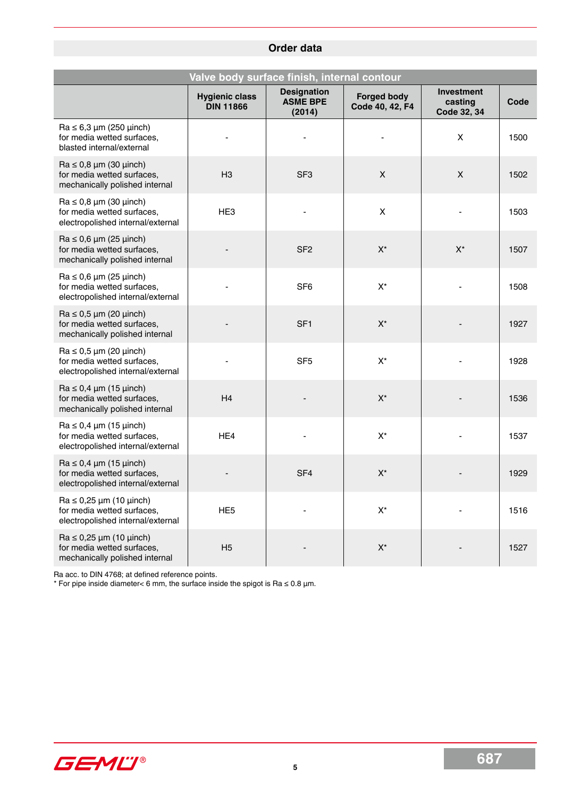# **Order data**

| Valve body surface finish, internal contour                                                            |                                           |                                                 |                                       |                                             |      |  |
|--------------------------------------------------------------------------------------------------------|-------------------------------------------|-------------------------------------------------|---------------------------------------|---------------------------------------------|------|--|
|                                                                                                        | <b>Hygienic class</b><br><b>DIN 11866</b> | <b>Designation</b><br><b>ASME BPE</b><br>(2014) | <b>Forged body</b><br>Code 40, 42, F4 | <b>Investment</b><br>casting<br>Code 32, 34 | Code |  |
| $Ra \leq 6.3 \mu m$ (250 $\mu$ inch)<br>for media wetted surfaces,<br>blasted internal/external        |                                           |                                                 |                                       | X                                           | 1500 |  |
| $Ra \le 0.8 \mu m$ (30 $\mu$ inch)<br>for media wetted surfaces,<br>mechanically polished internal     | H3                                        | SF <sub>3</sub>                                 | $\mathsf{X}$                          | $\mathsf{X}$                                | 1502 |  |
| $Ra \le 0.8 \mu m$ (30 $\mu$ inch)<br>for media wetted surfaces,<br>electropolished internal/external  | HE <sub>3</sub>                           |                                                 | X                                     |                                             | 1503 |  |
| $Ra \le 0.6 \mu m (25 \mu inch)$<br>for media wetted surfaces,<br>mechanically polished internal       |                                           | SF <sub>2</sub>                                 | $X^*$                                 | $X^*$                                       | 1507 |  |
| $Ra \le 0.6 \mu m (25 \mu inch)$<br>for media wetted surfaces,<br>electropolished internal/external    |                                           | SF <sub>6</sub>                                 | $X^*$                                 |                                             | 1508 |  |
| $Ra \le 0.5 \mu m$ (20 $\mu$ inch)<br>for media wetted surfaces,<br>mechanically polished internal     |                                           | SF <sub>1</sub>                                 | $X^*$                                 |                                             | 1927 |  |
| $Ra \le 0.5 \mu m$ (20 $\mu$ inch)<br>for media wetted surfaces,<br>electropolished internal/external  |                                           | SF <sub>5</sub>                                 | $X^*$                                 |                                             | 1928 |  |
| $Ra \le 0.4 \mu m (15 \mu nch)$<br>for media wetted surfaces,<br>mechanically polished internal        | H4                                        |                                                 | $X^*$                                 |                                             | 1536 |  |
| $Ra \leq 0.4 \mu m$ (15 $\mu$ inch)<br>for media wetted surfaces,<br>electropolished internal/external | HE4                                       |                                                 | $X^*$                                 |                                             | 1537 |  |
| $Ra \le 0.4 \mu m (15 \mu nch)$<br>for media wetted surfaces,<br>electropolished internal/external     |                                           | SF <sub>4</sub>                                 | $X^*$                                 |                                             | 1929 |  |
| $Ra \le 0.25 \mu m$ (10 $\mu$ inch)<br>for media wetted surfaces,<br>electropolished internal/external | HE <sub>5</sub>                           |                                                 | $X^*$                                 |                                             | 1516 |  |
| $Ra \le 0.25 \mu m$ (10 $\mu$ inch)<br>for media wetted surfaces,<br>mechanically polished internal    | H <sub>5</sub>                            |                                                 | $\mathsf{X}^\star$                    |                                             | 1527 |  |

Ra acc. to DIN 4768; at defined reference points.

\* For pipe inside diameter< 6 mm, the surface inside the spigot is Ra ≤ 0.8 µm.

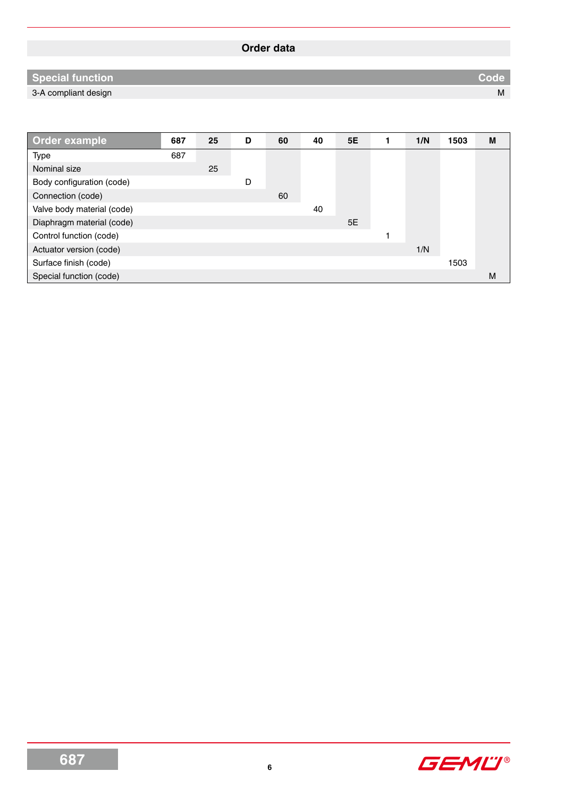# **Order data**

# **Special function Code**

3-A compliant design M

| Order example              | 687 | 25 | D | 60 | 40 | 5E | 1/N | 1503 | M |
|----------------------------|-----|----|---|----|----|----|-----|------|---|
| Type                       | 687 |    |   |    |    |    |     |      |   |
| Nominal size               |     | 25 |   |    |    |    |     |      |   |
| Body configuration (code)  |     |    | D |    |    |    |     |      |   |
| Connection (code)          |     |    |   | 60 |    |    |     |      |   |
| Valve body material (code) |     |    |   |    | 40 |    |     |      |   |
| Diaphragm material (code)  |     |    |   |    |    | 5E |     |      |   |
| Control function (code)    |     |    |   |    |    |    |     |      |   |
| Actuator version (code)    |     |    |   |    |    |    | 1/N |      |   |
| Surface finish (code)      |     |    |   |    |    |    |     | 1503 |   |
| Special function (code)    |     |    |   |    |    |    |     |      | M |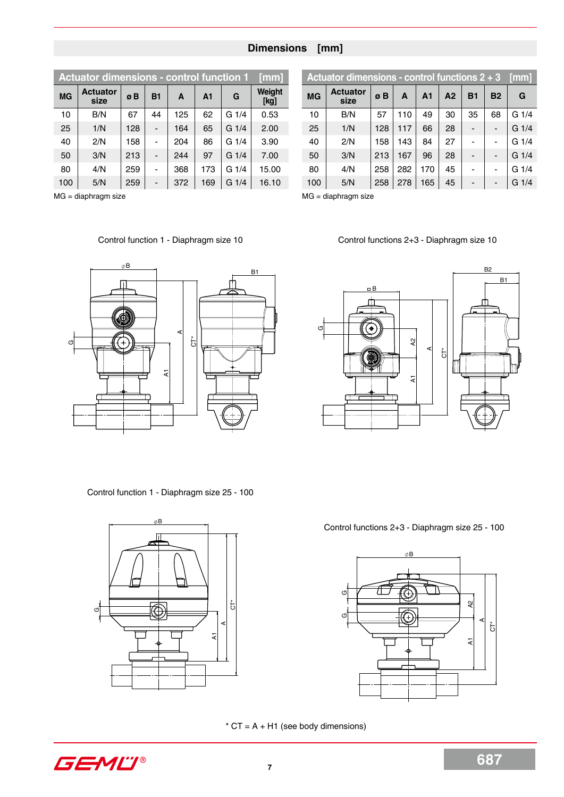### **Dimensions [mm]**

|           | <b>Actuator dimensions - control function 1</b> |     |                |     |                |         | [mm]           |
|-----------|-------------------------------------------------|-----|----------------|-----|----------------|---------|----------------|
| <b>MG</b> | <b>Actuator</b><br>size                         | øΒ  | <b>B1</b>      | A   | A <sub>1</sub> | G       | Weight<br>[kg] |
| 10        | B/N                                             | 67  | 44             | 125 | 62             | $G_1/4$ | 0.53           |
| 25        | 1/N                                             | 128 |                | 164 | 65             | $G_1/4$ | 2.00           |
| 40        | 2/N                                             | 158 |                | 204 | 86             | G 1/4   | 3.90           |
| 50        | 3/N                                             | 213 |                | 244 | 97             | $G_1/4$ | 7.00           |
| 80        | 4/N                                             | 259 |                | 368 | 173            | G1/4    | 15.00          |
| 100       | 5/N                                             | 259 | $\blacksquare$ | 372 | 169            | G 1/4   | 16.10          |

MG = diaphragm size

# **Actuator dimensions - control functions 2 + 3 [mm] MG Actuator size ø B <sup>A</sup> A1 A2 B1 B2 <sup>G</sup>** 10 | B/N | 57 | 110 | 49 | 30 | 35 | 68 | G 1/4 25 | 1/N |128 | 117 | 66 | 28 | - | - | G 1/4 40 | 2/N | 158 | 143 | 84 | 27 | - | - | G 1/4 50 | 3/N |213 |167 | 96 | 28 | - | - |G 1/4 80 | 4/N |258 |282 |170 | 45 | - | - |G 1/4 100 5/N 258 278 165 45 - - G 1/4

MG = diaphragm size

Control functions 2+3 - Diaphragm size 10



Control function 1 - Diaphragm size 10

Control function 1 - Diaphragm size 25 - 100



B2 B1  $\overline{B}$ Gδy A1 A2 A $\rm \dot{5}$ M

Control functions 2+3 - Diaphragm size 25 - 100



 $*$  CT = A + H1 (see body dimensions)

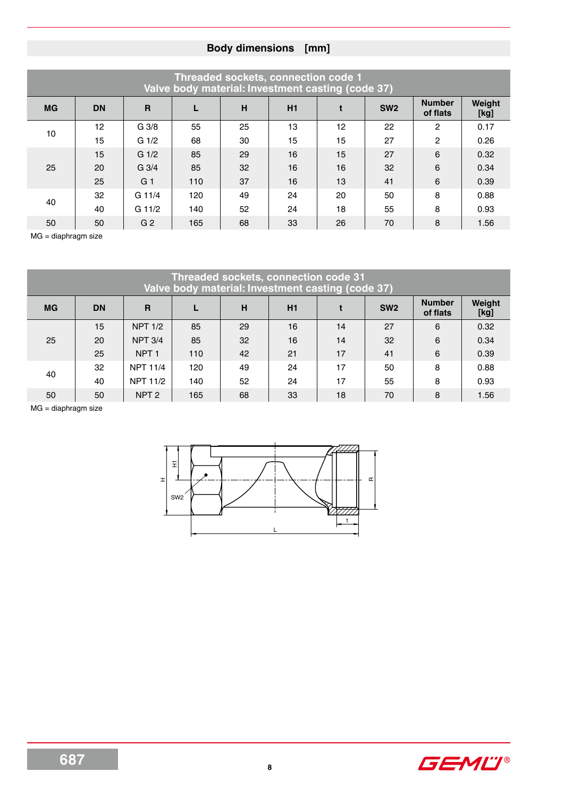|           |                 |                  |     |    | Threaded sockets, connection code 1<br>Valve body material: Investment casting (code 37) |    |                 |                           |                |
|-----------|-----------------|------------------|-----|----|------------------------------------------------------------------------------------------|----|-----------------|---------------------------|----------------|
| <b>MG</b> | <b>DN</b>       | $\mathbf{R}$     |     | H  | H1                                                                                       |    | SW <sub>2</sub> | <b>Number</b><br>of flats | Weight<br>[kg] |
| 10        | 12 <sup>2</sup> | G <sub>3/8</sub> | 55  | 25 | 13                                                                                       | 12 | 22              | $\overline{2}$            | 0.17           |
|           | 15              | $G_1/2$          | 68  | 30 | 15                                                                                       | 15 | 27              | $\overline{2}$            | 0.26           |
|           | 15              | $G_1/2$          | 85  | 29 | 16                                                                                       | 15 | 27              | 6                         | 0.32           |
| 25        | 20              | $G_3/4$          | 85  | 32 | 16                                                                                       | 16 | 32              | 6                         | 0.34           |
|           | 25              | G <sub>1</sub>   | 110 | 37 | 16                                                                                       | 13 | 41              | 6                         | 0.39           |
| 40        | 32              | $G$ 11/4         | 120 | 49 | 24                                                                                       | 20 | 50              | 8                         | 0.88           |
|           | 40              | $G$ 11/2         | 140 | 52 | 24                                                                                       | 18 | 55              | 8                         | 0.93           |
| 50        | 50              | G <sub>2</sub>   | 165 | 68 | 33                                                                                       | 26 | 70              | 8                         | 1.56           |

MG = diaphragm size

|           |           |                  |     |    | <b>Threaded sockets, connection code 31</b><br>Valve body material: Investment casting (code 37) |    |                 |                           |                |
|-----------|-----------|------------------|-----|----|--------------------------------------------------------------------------------------------------|----|-----------------|---------------------------|----------------|
| <b>MG</b> | <b>DN</b> | R                |     | н  | H1                                                                                               |    | SW <sub>2</sub> | <b>Number</b><br>of flats | Weight<br>[kg] |
|           | 15        | <b>NPT 1/2</b>   | 85  | 29 | 16                                                                                               | 14 | 27              | 6                         | 0.32           |
| 25        | 20        | <b>NPT 3/4</b>   | 85  | 32 | 16                                                                                               | 14 | 32              | 6                         | 0.34           |
|           | 25        | NPT <sub>1</sub> | 110 | 42 | 21                                                                                               | 17 | 41              | 6                         | 0.39           |
| 40        | 32        | <b>NPT 11/4</b>  | 120 | 49 | 24                                                                                               | 17 | 50              | 8                         | 0.88           |
|           | 40        | <b>NPT 11/2</b>  | 140 | 52 | 24                                                                                               | 17 | 55              | 8                         | 0.93           |
| 50        | 50        | NPT <sub>2</sub> | 165 | 68 | 33                                                                                               | 18 | 70              | 8                         | 1.56           |

MG = diaphragm size



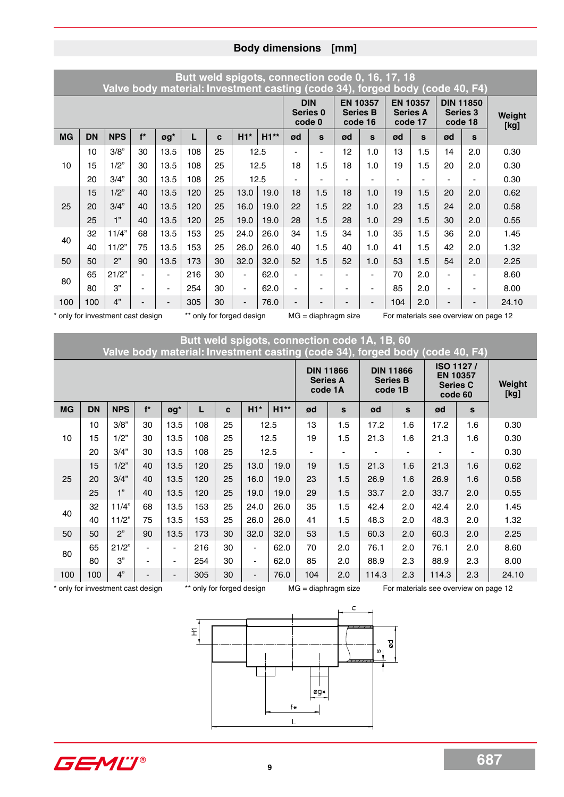|           |           | Valve body material: Investment casting (code 34), forged body (code 40, F4) |       |      | Butt weld spigots, connection code 0, 16, 17, 18 |    |                          |      |                |                                   |                            |                          |                                               |     |                            |                  |                |
|-----------|-----------|------------------------------------------------------------------------------|-------|------|--------------------------------------------------|----|--------------------------|------|----------------|-----------------------------------|----------------------------|--------------------------|-----------------------------------------------|-----|----------------------------|------------------|----------------|
|           |           |                                                                              |       |      |                                                  |    |                          |      | code 0         | <b>DIN</b><br>Series <sub>0</sub> | <b>Series B</b><br>code 16 | <b>EN 10357</b>          | <b>EN 10357</b><br><b>Series A</b><br>code 17 |     | <b>Series 3</b><br>code 18 | <b>DIN 11850</b> | Weight<br>[kg] |
| <b>MG</b> | <b>DN</b> | <b>NPS</b>                                                                   | $f^*$ | øg*  | L                                                | C  | $H1*$                    | H1** | ød             | S                                 | ød                         | S                        | ød                                            | S   | ød                         | $\mathbf{s}$     |                |
|           | 10        | 3/8"                                                                         | 30    | 13.5 | 108                                              | 25 |                          | 12.5 | $\blacksquare$ | $\blacksquare$                    | 12                         | 1.0                      | 13                                            | 1.5 | 14                         | 2.0              | 0.30           |
| 10        | 15        | 1/2"                                                                         | 30    | 13.5 | 108                                              | 25 |                          | 12.5 | 18             | 1.5                               | 18                         | 1.0                      | 19                                            | 1.5 | 20                         | 2.0              | 0.30           |
|           | 20        | 3/4"                                                                         | 30    | 13.5 | 108                                              | 25 | 12.5                     |      |                |                                   |                            |                          |                                               |     |                            |                  | 0.30           |
|           | 15        | 1/2"                                                                         | 40    | 13.5 | 120                                              | 25 | 13.0                     | 19.0 | 18             | 1.5                               | 18                         | 1.0                      | 19                                            | 1.5 | 20                         | 2.0              | 0.62           |
| 25        | 20        | 3/4"                                                                         | 40    | 13.5 | 120                                              | 25 | 16.0                     | 19.0 | 22             | 1.5                               | 22                         | 1.0                      | 23                                            | 1.5 | 24                         | 2.0              | 0.58           |
|           | 25        | 1"                                                                           | 40    | 13.5 | 120                                              | 25 | 19.0                     | 19.0 | 28             | 1.5                               | 28                         | 1.0                      | 29                                            | 1.5 | 30                         | 2.0              | 0.55           |
| 40        | 32        | 11/4"                                                                        | 68    | 13.5 | 153                                              | 25 | 24.0                     | 26.0 | 34             | 1.5                               | 34                         | 1.0                      | 35                                            | 1.5 | 36                         | 2.0              | 1.45           |
|           | 40        | 11/2"                                                                        | 75    | 13.5 | 153                                              | 25 | 26.0                     | 26.0 | 40             | 1.5                               | 40                         | 1.0                      | 41                                            | 1.5 | 42                         | 2.0              | 1.32           |
| 50        | 50        | 2"                                                                           | 90    | 13.5 | 173                                              | 30 | 32.0                     | 32.0 | 52             | 1.5                               | 52                         | 1.0                      | 53                                            | 1.5 | 54                         | 2.0              | 2.25           |
| 80        | 65        | 21/2"                                                                        |       |      | 216                                              | 30 | $\overline{\phantom{a}}$ | 62.0 | $\blacksquare$ |                                   | $\blacksquare$             | $\overline{\phantom{0}}$ | 70                                            | 2.0 |                            | $\blacksquare$   | 8.60           |
|           | 80        | 3"                                                                           |       |      | 254                                              | 30 | $\overline{\phantom{a}}$ | 62.0 | ÷              | $\blacksquare$                    | $\blacksquare$             | $\overline{\phantom{0}}$ | 85                                            | 2.0 |                            | -                | 8.00           |
| 100       | 100       | 4"                                                                           |       |      | 305                                              | 30 |                          | 76.0 |                |                                   |                            | $\blacksquare$           | 104                                           | 2.0 |                            | -                | 24.10          |

|           |           | only for investment cast design   |       |                                        |                           | only for forged design |                          |        |     | $MG = diaphragm size$                          |                            |                  | For materials see overview on page 12                                        |              |                |
|-----------|-----------|-----------------------------------|-------|----------------------------------------|---------------------------|------------------------|--------------------------|--------|-----|------------------------------------------------|----------------------------|------------------|------------------------------------------------------------------------------|--------------|----------------|
|           |           |                                   |       |                                        |                           |                        |                          |        |     | Butt weld spigots, connection code 1A, 1B, 60  |                            |                  | Valve body material: Investment casting (code 34), forged body (code 40, F4) |              |                |
|           |           |                                   |       |                                        |                           |                        |                          |        |     | <b>DIN 11866</b><br><b>Series A</b><br>code 1A | <b>Series B</b><br>code 1B | <b>DIN 11866</b> | <b>EN 10357</b><br><b>Series C</b><br>code 60                                | ISO 1127/    | Weight<br>[kg] |
| <b>MG</b> | <b>DN</b> | <b>NPS</b>                        | $f^*$ | $\boldsymbol{g}\boldsymbol{g}^{\star}$ | L                         | C                      | $H1*$                    | $H1**$ | ød  | s                                              | ød                         | S                | ød                                                                           | $\mathbf{s}$ |                |
|           | 10        | 3/8"                              | 30    | 13.5                                   | 108                       | 25                     |                          | 12.5   | 13  | 1.5                                            | 17.2                       | 1.6              | 17.2                                                                         | 1.6          | 0.30           |
| 10        | 15        | 1/2"                              | 30    | 13.5                                   | 108                       | 25                     |                          | 12.5   | 19  | 1.5                                            | 21.3                       | 1.6              | 21.3                                                                         | 1.6          | 0.30           |
|           | 20        | 3/4"                              | 30    | 13.5                                   | 108                       | 25                     | 12.5                     |        |     |                                                |                            |                  |                                                                              |              | 0.30           |
|           | 15        | 1/2"                              | 40    | 13.5                                   | 120                       | 25                     | 13.0<br>19.0             |        | 19  | 1.5                                            | 21.3                       | 1.6              | 21.3                                                                         | 1.6          | 0.62           |
| 25        | 20        | 3/4"                              | 40    | 13.5                                   | 120                       | 25                     | 16.0                     | 19.0   | 23  | 1.5                                            | 26.9                       | 1.6              | 26.9                                                                         | 1.6          | 0.58           |
|           | 25        | 1"                                | 40    | 13.5                                   | 120                       | 25                     | 19.0                     | 19.0   | 29  | 1.5                                            | 33.7                       | 2.0              | 33.7                                                                         | 2.0          | 0.55           |
|           | 32        | 11/4"                             | 68    | 13.5                                   | 153                       | 25                     | 24.0                     | 26.0   | 35  | 1.5                                            | 42.4                       | 2.0              | 42.4                                                                         | 2.0          | 1.45           |
| 40        | 40        | 11/2"                             | 75    | 13.5                                   | 153                       | 25                     | 26.0                     | 26.0   | 41  | 1.5                                            | 48.3                       | 2.0              | 48.3                                                                         | 2.0          | 1.32           |
| 50        | 50        | 2"                                | 90    | 13.5                                   | 173                       | 30                     | 32.0                     | 32.0   | 53  | 1.5                                            | 60.3                       | 2.0              | 60.3                                                                         | 2.0          | 2.25           |
|           | 65        | 21/2"                             |       | $\overline{\phantom{a}}$               | 216                       | 30                     | $\overline{\phantom{a}}$ | 62.0   | 70  | 2.0                                            | 76.1                       | 2.0              | 76.1                                                                         | 2.0          | 8.60           |
| 80        | 80        | 3"                                |       | $\blacksquare$                         | 254                       | 30                     | $\overline{\phantom{a}}$ | 62.0   | 85  | 2.0                                            | 88.9                       | 2.3              | 88.9                                                                         | 2.3          | 8.00           |
| 100       | 100       | 4"                                |       |                                        | 305                       | 30                     |                          | 76.0   | 104 | 2.0                                            | 114.3                      | 2.3              | 114.3                                                                        | 2.3          | 24.10          |
|           |           | * only for investment cast design |       |                                        | ** only for forged design |                        |                          |        |     | $MG = diaphragm size$                          |                            |                  | For materials see overview on page 12                                        |              |                |



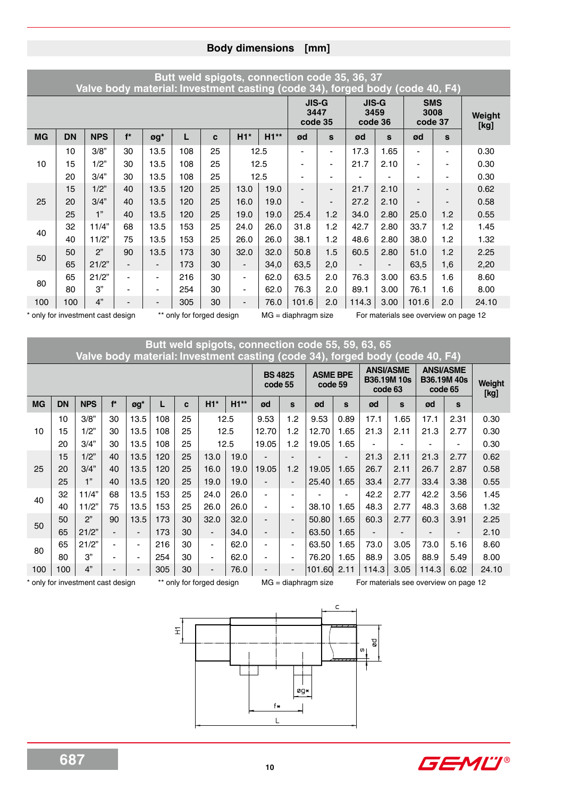|           |           | Valve body material: Investment casting (code 34), forged body (code 40, F4) |                          |                          |                           |    |                          |        |                                 |                          | Butt weld spigots, connection code 35, 36, 37 |                |                                       |                          |                |
|-----------|-----------|------------------------------------------------------------------------------|--------------------------|--------------------------|---------------------------|----|--------------------------|--------|---------------------------------|--------------------------|-----------------------------------------------|----------------|---------------------------------------|--------------------------|----------------|
|           |           |                                                                              |                          |                          |                           |    |                          |        | <b>JIS-G</b><br>3447<br>code 35 |                          | <b>JIS-G</b><br>3459<br>code 36               |                | <b>SMS</b><br>3008<br>code 37         |                          | Weight<br>[kg] |
| <b>MG</b> | <b>DN</b> | <b>NPS</b>                                                                   | $f^*$                    | øg*                      | L                         | C  | $H1*$                    | $H1**$ | ød                              | S                        | ød                                            | S              | ød                                    | $\mathbf{s}$             |                |
|           | 10        | 3/8"                                                                         | 30                       | 13.5                     | 108                       | 25 |                          | 12.5   |                                 | $\blacksquare$           | 17.3                                          | 1.65           | $\blacksquare$                        | ۰                        | 0.30           |
| 10        | 15        | 1/2"                                                                         | 30                       | 13.5                     | 108                       | 25 |                          | 12.5   |                                 |                          | 21.7                                          | 2.10           |                                       |                          | 0.30           |
|           | 20        | 3/4"                                                                         | 30                       | 13.5                     | 108                       | 25 |                          |        |                                 |                          |                                               |                | $\overline{\phantom{0}}$              |                          | 0.30           |
|           | 15        | 1/2"                                                                         | 40                       | 13.5                     | 120                       | 25 | 12.5<br>13.0<br>19.0     |        |                                 | $\overline{\phantom{0}}$ | 21.7                                          | 2.10           | $\overline{\phantom{0}}$              | $\overline{\phantom{0}}$ | 0.62           |
| 25        | 20        | 3/4"                                                                         | 40                       | 13.5                     | 120                       | 25 | 16.0                     | 19.0   |                                 |                          | 27.2                                          | 2.10           |                                       |                          | 0.58           |
|           | 25        | 1"                                                                           | 40                       | 13.5                     | 120                       | 25 | 19.0<br>19.0             |        | 25.4                            | 1.2                      | 34.0                                          | 2.80           | 25.0                                  | 1.2                      | 0.55           |
|           | 32        | 11/4"                                                                        | 68                       | 13.5                     | 153                       | 25 | 24.0                     | 26.0   | 31.8                            | 1.2                      | 42.7                                          | 2.80           | 33.7                                  | 1.2                      | 1.45           |
| 40        | 40        | 11/2"                                                                        | 75                       | 13.5                     | 153                       | 25 | 26.0                     | 26.0   | 38.1                            | 1.2                      | 48.6                                          | 2.80           | 38.0                                  | 1.2                      | 1.32           |
| 50        | 50        | 2"                                                                           | 90                       | 13.5                     | 173                       | 30 | 32.0                     | 32.0   | 50.8                            | 1.5                      | 60.5                                          | 2.80           | 51.0                                  | 1.2                      | 2.25           |
|           | 65        | 21/2"                                                                        |                          | $\blacksquare$           | 173                       | 30 | $\overline{\phantom{a}}$ | 34,0   | 63,5                            | 2,0                      |                                               | $\blacksquare$ | 63,5                                  | 1,6                      | 2,20           |
| 80        | 65        | 21/2"                                                                        | $\overline{\phantom{0}}$ | $\blacksquare$           | 216                       | 30 | ٠                        | 62.0   | 63.5                            | 2.0                      | 76.3                                          | 3.00           | 63.5                                  | 1.6                      | 8.60           |
|           | 80        | 3"                                                                           |                          | $\overline{\phantom{a}}$ | 254                       | 30 | $\overline{\phantom{a}}$ | 62.0   | 76.3                            | 2.0                      | 89.1                                          | 3.00           | 76.1                                  | 1.6                      | 8.00           |
| 100       | 100       | 4"                                                                           |                          | $\blacksquare$           | 305                       | 30 |                          | 76.0   | 101.6                           | 2.0                      | 114.3                                         | 3.00           | 101.6                                 | 2.0                      | 24.10          |
|           |           | * only for investment cast design                                            |                          |                          | ** only for forged design |    |                          |        | $MG = diaphragm size$           |                          |                                               |                | For materials see overview on page 12 |                          |                |

### **Butt weld spigots, connection code 55, 59, 63, 65 Valve body material: Investment casting (code 34), forged body (code 40, F4)**

|           |           |            |                          |                |     |    |                          |              | <b>BS 4825</b><br>code 55 |                          | <b>ASME BPE</b><br>code 59 |                          | <b>ANSI/ASME</b><br>code 63 | <b>B36.19M10s</b> | <b>ANSI/ASME</b><br>code 65 | <b>B36.19M40s</b> | Weight<br>[kg] |
|-----------|-----------|------------|--------------------------|----------------|-----|----|--------------------------|--------------|---------------------------|--------------------------|----------------------------|--------------------------|-----------------------------|-------------------|-----------------------------|-------------------|----------------|
| <b>MG</b> | <b>DN</b> | <b>NPS</b> | $f^*$                    | øg*            |     | C  | $H1*$                    | $H1**$       | ød                        | S                        | ød                         | S                        | ød                          | S                 | ød                          | S                 |                |
|           | 10        | 3/8"       | 30                       | 13.5           | 108 | 25 |                          | 12.5         | 9.53                      | 1.2                      | 9.53                       | 0.89                     | 17.1                        | 1.65              | 17.1                        | 2.31              | 0.30           |
| 10        | 15        | 1/2"       | 30                       | 13.5           | 108 | 25 |                          | 12.5<br>12.5 |                           | 1.2                      | 12.70                      | .65                      | 21.3                        | 2.11              | 21.3                        | 2.77              | 0.30           |
|           | 20        | 3/4"       | 30                       | 13.5           | 108 | 25 |                          | 13.0<br>19.0 |                           | 1.2                      | 19.05                      | 1.65                     |                             |                   | $\blacksquare$              |                   | 0.30           |
|           | 15        | 1/2"       | 40                       | 13.5           | 120 | 25 |                          |              | -                         |                          |                            | $\overline{\phantom{0}}$ | 21.3                        | 2.11              | 21.3                        | 2.77              | 0.62           |
| 25        | 20        | 3/4"       | 40                       | 13.5           | 120 | 25 | 16.0                     | 19.0         | 19.05                     | 1.2                      | 19.05                      | 1.65                     | 26.7                        | 2.11              | 26.7                        | 2.87              | 0.58           |
|           | 25        | 1"         | 40                       | 13.5           | 120 | 25 | 19.0                     | 19.0         | -                         | $\overline{\phantom{0}}$ | 25.40                      | 1.65                     | 33.4                        | 2.77              | 33.4                        | 3.38              | 0.55           |
| 40        | 32        | 11/4"      | 68                       | 13.5           | 153 | 25 | 24.0                     | 26.0         | ۰                         |                          |                            | $\blacksquare$           | 42.2                        | 2.77              | 42.2                        | 3.56              | 1.45           |
|           | 40        | 11/2"      | 75                       | 13.5           | 153 | 25 | 26.0                     | 26.0         |                           | $\overline{\phantom{0}}$ | 38.10                      | 1.65                     | 48.3                        | 2.77              | 48.3                        | 3.68              | 1.32           |
| 50        | 50        | 2"         | 90                       | 13.5           | 173 | 30 | 32.0                     | 32.0         |                           | $\blacksquare$           | 50.80                      | 1.65                     | 60.3                        | 2.77              | 60.3                        | 3.91              | 2.25           |
|           | 65        | 21/2"      | $\overline{\phantom{0}}$ | $\blacksquare$ | 173 | 30 | $\blacksquare$           | 34.0         | -                         | $\overline{\phantom{a}}$ | 63.50                      | 1.65                     | $\overline{\phantom{0}}$    |                   |                             |                   | 2.10           |
| 80        | 65        | 21/2"      | $\overline{\phantom{0}}$ | ۰              | 216 | 30 | $\blacksquare$           | 62.0         | $\blacksquare$            | $\overline{\phantom{0}}$ | 63.50                      | 1.65                     | 73.0                        | 3.05              | 73.0                        | 5.16              | 8.60           |
|           | 80        | 3"         | $\overline{\phantom{0}}$ | $\blacksquare$ | 254 | 30 | $\blacksquare$           | 62.0         | -                         | $\overline{\phantom{0}}$ | 76.20                      | 1.65                     | 88.9                        | 3.05              | 88.9                        | 5.49              | 8.00           |
| 100       | 100       | 4"         | $\overline{\phantom{0}}$ | $\blacksquare$ | 305 | 30 | $\overline{\phantom{0}}$ | 76.0         | $\overline{\phantom{0}}$  | $\overline{\phantom{0}}$ | 101.60                     | 2.11                     | 114.3                       | 3.05              | 114.3                       | 6.02              | 24.10          |

\* only for investment cast design \*\* only for forged design MG = diaphragm size For materials see overview on page 12



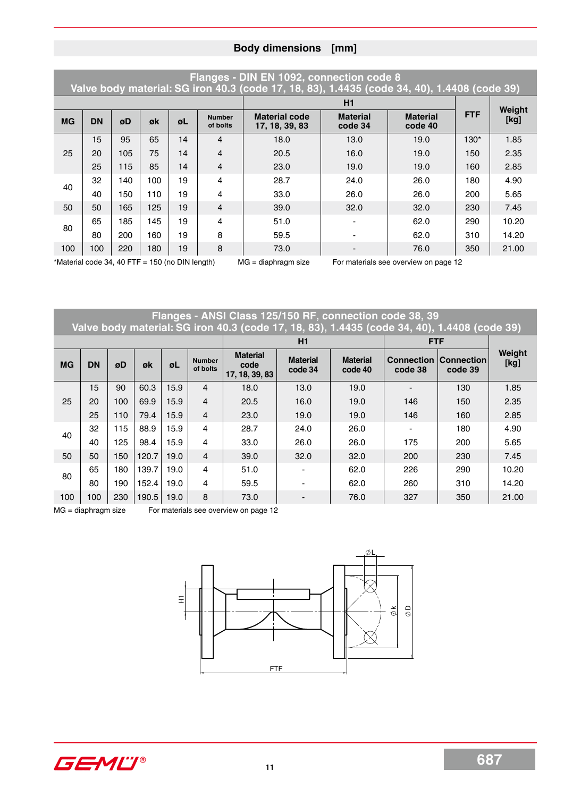|                                                 |           |     |     |    |                           | Flanges - DIN EN 1092, connection code 8<br>Valve body material: SG iron 40.3 (code 17, 18, 83), 1.4435 (code 34, 40), 1.4408 (code 39) |                            |                                       |            |        |
|-------------------------------------------------|-----------|-----|-----|----|---------------------------|-----------------------------------------------------------------------------------------------------------------------------------------|----------------------------|---------------------------------------|------------|--------|
|                                                 |           |     |     |    |                           |                                                                                                                                         | H1                         |                                       |            | Weight |
| <b>MG</b>                                       | <b>DN</b> | øD  | øk  | øL | <b>Number</b><br>of bolts | <b>Material code</b><br>17, 18, 39, 83                                                                                                  | <b>Material</b><br>code 34 | <b>Material</b><br>code 40            | <b>FTF</b> | [kg]   |
|                                                 | 15        | 95  | 65  | 14 | 4                         | 18.0                                                                                                                                    | 13.0                       | 19.0                                  | $130*$     | 1.85   |
| 25                                              | 20        | 105 | 75  | 14 | 4                         | 20.5                                                                                                                                    | 16.0                       | 19.0                                  | 150        | 2.35   |
|                                                 | 25        | 115 | 85  | 14 | $\overline{4}$            | 23.0                                                                                                                                    | 19.0                       | 19.0                                  | 160        | 2.85   |
| 40                                              | 32        | 140 | 100 | 19 | 4                         | 28.7                                                                                                                                    | 24.0                       | 26.0                                  | 180        | 4.90   |
|                                                 | 40        | 150 | 110 | 19 | 4                         | 33.0                                                                                                                                    | 26.0                       | 26.0                                  | 200        | 5.65   |
| 50                                              | 50        | 165 | 125 | 19 | 4                         | 39.0                                                                                                                                    | 32.0                       | 32.0                                  | 230        | 7.45   |
| 80                                              | 65        | 185 | 145 | 19 | 4                         | 51.0                                                                                                                                    |                            | 62.0                                  | 290        | 10.20  |
|                                                 | 80        | 200 | 160 | 19 | 8                         | 59.5                                                                                                                                    |                            | 62.0                                  | 310        | 14.20  |
| 100                                             | 100       | 220 | 180 | 19 | 8                         | 73.0                                                                                                                                    |                            | 76.0                                  | 350        | 21.00  |
| *Material code 34, 40 FTF = 150 (no DIN length) |           |     |     |    |                           | $MG = diaphragm size$                                                                                                                   |                            | For materials see overview on page 12 |            |        |

**Flanges - ANSI Class 125/150 RF, connection code 38, 39**

|           |           |     |       |      |                           | Valve body material: SG iron 40.3 (code 17, 18, 83), 1.4435 (code 34, 40), 1.4408 (code 39) |                            |                            |                              |                              |                |
|-----------|-----------|-----|-------|------|---------------------------|---------------------------------------------------------------------------------------------|----------------------------|----------------------------|------------------------------|------------------------------|----------------|
|           |           |     |       |      |                           |                                                                                             | H1                         |                            | <b>FTF</b>                   |                              |                |
| <b>MG</b> | <b>DN</b> | øD  | øk    | øL   | <b>Number</b><br>of bolts | <b>Material</b><br>code<br>17, 18, 39, 83                                                   | <b>Material</b><br>code 34 | <b>Material</b><br>code 40 | <b>Connection</b><br>code 38 | <b>Connection</b><br>code 39 | Weight<br>[kg] |
|           | 15        | 90  | 60.3  | 15.9 | $\overline{4}$            | 18.0                                                                                        | 13.0                       | 19.0                       |                              | 130                          | 1.85           |
| 25        | 20        | 100 | 69.9  | 15.9 | $\overline{4}$            | 20.5                                                                                        | 16.0                       | 19.0                       | 146                          | 150                          | 2.35           |
|           | 25        | 110 | 79.4  | 15.9 | $\overline{4}$            | 23.0                                                                                        | 19.0                       | 19.0                       | 146                          | 160                          | 2.85           |
| 40        | 32        | 115 | 88.9  | 15.9 | 4                         | 28.7                                                                                        | 24.0                       | 26.0                       |                              | 180                          | 4.90           |
|           | 40        | 125 | 98.4  | 15.9 | 4                         | 33.0                                                                                        | 26.0                       | 26.0                       | 175                          | 200                          | 5.65           |
| 50        | 50        | 150 | 120.7 | 19.0 | $\overline{4}$            | 39.0                                                                                        | 32.0                       | 32.0                       | 200                          | 230                          | 7.45           |
|           | 65        | 180 | 139.7 | 19.0 | 4                         | 51.0                                                                                        |                            | 62.0                       | 226                          | 290                          | 10.20          |
| 80        | 80        | 190 | 152.4 | 19.0 | 4                         | 59.5                                                                                        |                            | 62.0                       | 260                          | 310                          | 14.20          |
| 100       | 100       | 230 | 190.5 | 19.0 | 8                         | 73.0                                                                                        |                            | 76.0                       | 327                          | 350                          | 21.00          |

MG = diaphragm size For materials see overview on page 12



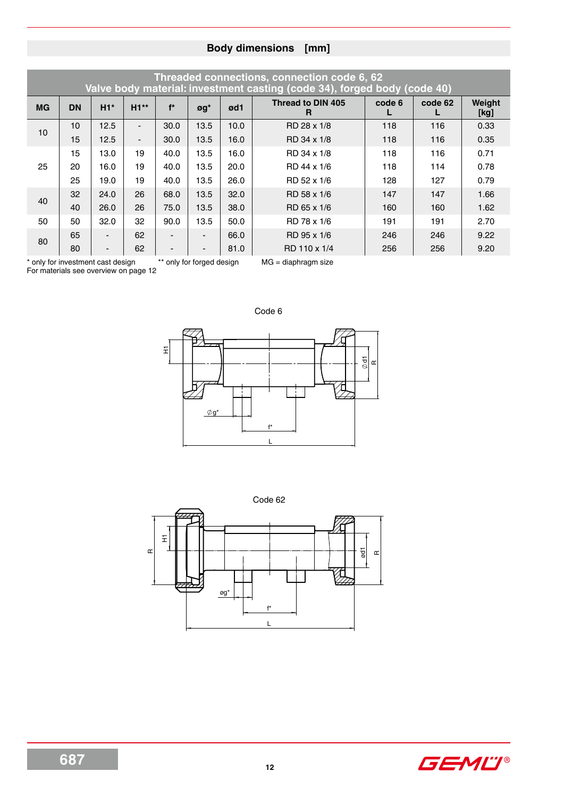|           |           |                          |                |                          |                              |      | Threaded connections, connection code 6, 62<br>Valve body material: investment casting (code 34), forged body (code 40) |        |         |                |
|-----------|-----------|--------------------------|----------------|--------------------------|------------------------------|------|-------------------------------------------------------------------------------------------------------------------------|--------|---------|----------------|
| <b>MG</b> | <b>DN</b> | $H1*$                    | $H1**$         | $f^*$                    | $\mathfrak{g}\mathfrak{g}^*$ | ød1  | Thread to DIN 405<br>R                                                                                                  | code 6 | code 62 | Weight<br>[kg] |
| 10        | 10        | 12.5                     | $\blacksquare$ | 30.0                     | 13.5                         | 10.0 | RD 28 x 1/8                                                                                                             | 118    | 116     | 0.33           |
|           | 15        | 12.5                     | $\blacksquare$ | 30.0                     | 13.5                         | 16.0 | RD 34 x 1/8                                                                                                             | 118    | 116     | 0.35           |
|           | 15        | 13.0                     | 19             | 40.0                     | 13.5                         | 16.0 | RD 34 x 1/8                                                                                                             | 118    | 116     | 0.71           |
| 25        | 20        | 16.0                     | 19             | 40.0                     | 13.5                         | 20.0 | RD 44 x 1/6                                                                                                             | 118    | 114     | 0.78           |
|           | 25        | 19.0                     | 19             | 40.0                     | 13.5                         | 26.0 | RD 52 x 1/6                                                                                                             | 128    | 127     | 0.79           |
| 40        | 32        | 24.0                     | 26             | 68.0                     | 13.5                         | 32.0 | RD 58 x 1/6                                                                                                             | 147    | 147     | 1.66           |
|           | 40        | 26.0                     | 26             | 75.0                     | 13.5                         | 38.0 | RD 65 x 1/6                                                                                                             | 160    | 160     | 1.62           |
| 50        | 50        | 32.0                     | 32             | 90.0                     | 13.5                         | 50.0 | RD 78 x 1/6                                                                                                             | 191    | 191     | 2.70           |
| 80        | 65        | $\overline{a}$           | 62             |                          | $\overline{\phantom{a}}$     | 66.0 | RD 95 x 1/6                                                                                                             | 246    | 246     | 9.22           |
|           | 80        | $\overline{\phantom{a}}$ | 62             | $\overline{\phantom{a}}$ | $\overline{\phantom{a}}$     | 81.0 | RD 110 x 1/4                                                                                                            | 256    | 256     | 9.20           |

\* only for investment cast design \*\* only for forged design MG = diaphragm size

For materials see overview on page 12







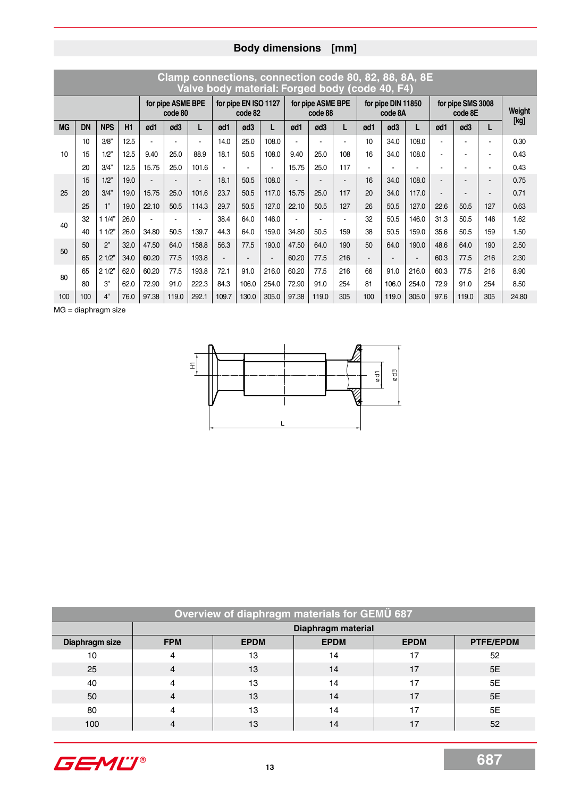|              |           |            |      |       |                              | Clamp connections, connection code 80, 82, 88, 8A, 8E<br>Valve body material: Forged body (code 40, F4) |                |                                 |       |       |                              |     |     |                               |                |                |                              |     |        |
|--------------|-----------|------------|------|-------|------------------------------|---------------------------------------------------------------------------------------------------------|----------------|---------------------------------|-------|-------|------------------------------|-----|-----|-------------------------------|----------------|----------------|------------------------------|-----|--------|
|              |           |            |      |       | for pipe ASME BPE<br>code 80 |                                                                                                         |                | for pipe EN ISO 1127<br>code 82 |       |       | for pipe ASME BPE<br>code 88 |     |     | for pipe DIN 11850<br>code 8A |                |                | for pipe SMS 3008<br>code 8E |     | Weight |
| <b>MG</b>    | <b>DN</b> | <b>NPS</b> | H1   | ød1   | ød3                          | L                                                                                                       | ød1            | ød3                             | L     | ød1   | ød3                          | L   | ød1 | ød3                           | L              | ød1            | ød3                          | L   | [kg]   |
|              | 10        | 3/8"       | 12.5 |       |                              |                                                                                                         | 14.0           | 25.0                            | 108.0 |       |                              |     | 10  | 34.0                          | 108.0          | ٠              |                              |     | 0.30   |
| 10           | 15        | 1/2"       | 12.5 | 9.40  | 25.0                         | 88.9                                                                                                    | 18.1           | 50.5                            | 108.0 | 9.40  | 25.0                         | 108 | 16  | 34.0                          | 108.0          | $\blacksquare$ |                              |     | 0.43   |
|              | 20        | 3/4"       | 12.5 | 15.75 | 25.0                         | 101.6                                                                                                   |                |                                 |       | 15.75 | 25.0                         | 117 |     |                               |                |                |                              |     | 0.43   |
|              | 15        | 1/2"       | 19.0 |       |                              |                                                                                                         | 18.1           | 50.5                            | 108.0 |       |                              |     | 16  | 34.0                          | 108.0          |                |                              |     | 0.75   |
| 25           | 20        | 3/4"       | 19.0 | 15.75 | 25.0                         | 101.6                                                                                                   | 23.7           | 50.5                            | 117.0 | 15.75 | 25.0                         | 117 | 20  | 34.0                          | 117.0          | $\blacksquare$ |                              |     | 0.71   |
|              | 25        | 1"         | 19.0 | 22.10 | 50.5                         | 114.3                                                                                                   | 29.7           | 50.5                            | 127.0 | 22.10 | 50.5                         | 127 | 26  | 50.5                          | 127.0          | 22.6           | 50.5                         | 127 | 0.63   |
| 40           | 32        | 11/4"      | 26.0 |       |                              |                                                                                                         | 38.4           | 64.0                            | 146.0 |       |                              |     | 32  | 50.5                          | 146.0          | 31.3           | 50.5                         | 146 | 1.62   |
|              | 40        | 11/2"      | 26.0 | 34.80 | 50.5                         | 139.7                                                                                                   | 44.3           | 64.0                            | 159.0 | 34.80 | 50.5                         | 159 | 38  | 50.5                          | 159.0          | 35.6           | 50.5                         | 159 | 1.50   |
| $50^{\circ}$ | 50        | 2"         | 32.0 | 47.50 | 64.0                         | 158.8                                                                                                   | 56.3           | 77.5                            | 190.0 | 47.50 | 64.0                         | 190 | 50  | 64.0                          | 190.0          | 48.6           | 64.0                         | 190 | 2.50   |
|              | 65        | 21/2"      | 34.0 | 60.20 | 77.5                         | 193.8                                                                                                   | $\blacksquare$ | $\overline{\phantom{a}}$        |       | 60.20 | 77.5                         | 216 |     |                               | $\blacksquare$ | 60.3           | 77.5                         | 216 | 2.30   |
| 80           | 65        | 21/2"      | 62.0 | 60.20 | 77.5                         | 193.8                                                                                                   | 72.1           | 91.0                            | 216.0 | 60.20 | 77.5                         | 216 | 66  | 91.0                          | 216.0          | 60.3           | 77.5                         | 216 | 8.90   |
|              | 80        | 3"         | 62.0 | 72.90 | 91.0                         | 222.3                                                                                                   | 84.3           | 106.0                           | 254.0 | 72.90 | 91.0                         | 254 | 81  | 106.0                         | 254.0          | 72.9           | 91.0                         | 254 | 8.50   |
| 100          | 100       | 4"         | 76.0 | 97.38 | 119.0                        | 292.1                                                                                                   | 109.7          | 130.0                           | 305.0 | 97.38 | 119.0                        | 305 | 100 | 119.0                         | 305.0          | 97.6           | 119.0                        | 305 | 24.80  |

 $MG = diaphragm size$ 



| Overview of diaphragm materials for GEMU 687 |                |                    |             |             |                  |  |  |  |  |  |  |  |  |  |  |
|----------------------------------------------|----------------|--------------------|-------------|-------------|------------------|--|--|--|--|--|--|--|--|--|--|
|                                              |                | Diaphragm material |             |             |                  |  |  |  |  |  |  |  |  |  |  |
| Diaphragm size                               | <b>FPM</b>     | <b>EPDM</b>        | <b>EPDM</b> | <b>EPDM</b> | <b>PTFE/EPDM</b> |  |  |  |  |  |  |  |  |  |  |
| 10                                           | 4              | 13                 | 14          | 17          | 52               |  |  |  |  |  |  |  |  |  |  |
| 25                                           | $\overline{4}$ | 13                 | 14          | 17          | 5E               |  |  |  |  |  |  |  |  |  |  |
| 40                                           | 4              | 13                 | 14          | 17          | 5E               |  |  |  |  |  |  |  |  |  |  |
| 50                                           | $\overline{4}$ | 13                 | 14          | 17          | 5E               |  |  |  |  |  |  |  |  |  |  |
| 80                                           | 4              | 13                 | 14          | 17          | 5E               |  |  |  |  |  |  |  |  |  |  |
| 100                                          | 4              | 13                 | 14          | 17          | 52               |  |  |  |  |  |  |  |  |  |  |